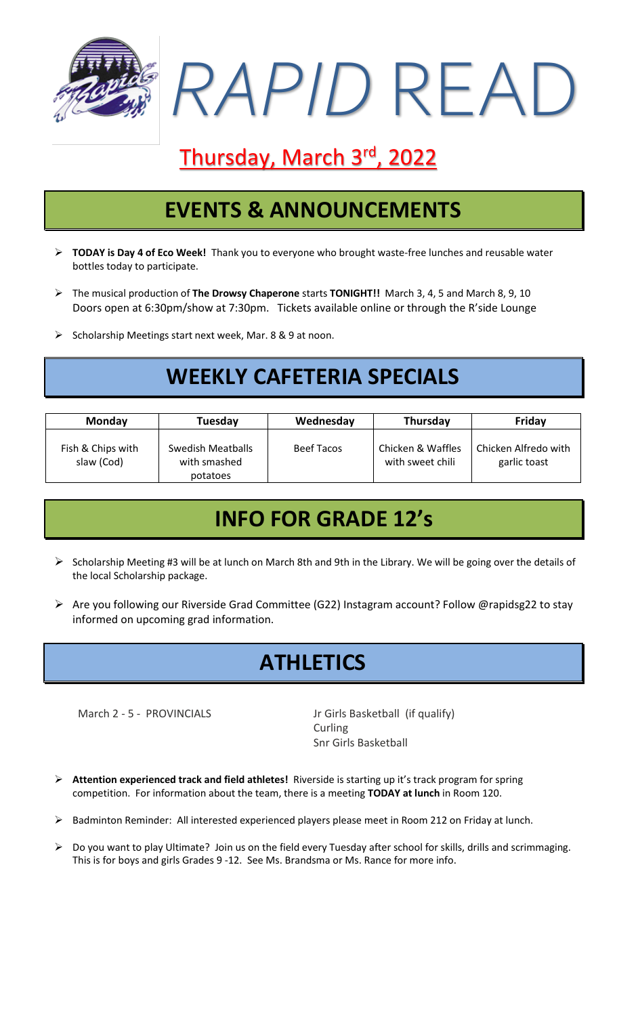

# Thursday, March 3rd, 2022

### **EVENTS & ANNOUNCEMENTS**

- ➢ **TODAY is Day 4 of Eco Week!** Thank you to everyone who brought waste-free lunches and reusable water bottles today to participate.
- ➢ The musical production of **The Drowsy Chaperone** starts **TONIGHT!!** March 3, 4, 5 and March 8, 9, 10 Doors open at 6:30pm/show at 7:30pm. Tickets available online or through the R'side Lounge
- ➢ Scholarship Meetings start next week, Mar. 8 & 9 at noon.

## **WEEKLY CAFETERIA SPECIALS**

| <b>Monday</b>                   | Tuesday                                       | Wednesday         | Thursday                              | Friday                               |
|---------------------------------|-----------------------------------------------|-------------------|---------------------------------------|--------------------------------------|
| Fish & Chips with<br>slaw (Cod) | Swedish Meatballs<br>with smashed<br>potatoes | <b>Beef Tacos</b> | Chicken & Waffles<br>with sweet chili | Chicken Alfredo with<br>garlic toast |

### **INFO FOR GRADE 12's**

- ➢ Scholarship Meeting #3 will be at lunch on March 8th and 9th in the Library. We will be going over the details of the local Scholarship package.
- ➢ Are you following our Riverside Grad Committee (G22) Instagram account? Follow @rapidsg22 to stay informed on upcoming grad information.

### **ATHLETICS**

March 2 - 5 - PROVINCIALS Jr Girls Basketball (if qualify) Curling Snr Girls Basketball

- ➢ **Attention experienced track and field athletes!** Riverside is starting up it's track program for spring competition. For information about the team, there is a meeting **TODAY at lunch** in Room 120.
- ➢ Badminton Reminder: All interested experienced players please meet in Room 212 on Friday at lunch.
- $\triangleright$  Do you want to play Ultimate? Join us on the field every Tuesday after school for skills, drills and scrimmaging. This is for boys and girls Grades 9 -12. See Ms. Brandsma or Ms. Rance for more info.